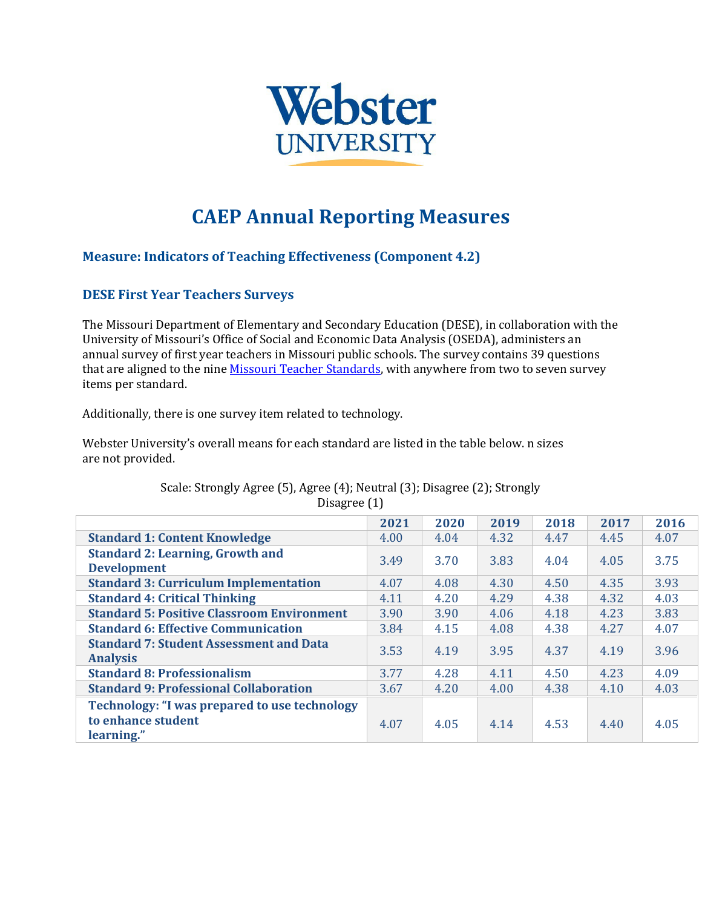

# **CAEP Annual Reporting Measures**

## **Measure: Indicators of Teaching Effectiveness (Component 4.2)**

## **DESE First Year Teachers Surveys**

The Missouri Department of Elementary and Secondary Education (DESE), in collaboration with the University of Missouri's Office of Social and Economic Data Analysis (OSEDA), administers an annual survey of first year teachers in Missouri public schools. The survey contains 39 questions that are aligned to the nin[e Missouri Teacher Standards, w](https://dese.mo.gov/sites/default/files/TeacherStandards.pdf)ith anywhere from two to seven survey items per standard.

Additionally, there is one survey item related to technology.

Webster University's overall means for each standard are listed in the table below. n sizes are not provided.

|                                                                   | 2021 | 2020 | 2019 | 2018 | 2017 | 2016 |  |  |  |  |
|-------------------------------------------------------------------|------|------|------|------|------|------|--|--|--|--|
| <b>Standard 1: Content Knowledge</b>                              | 4.00 | 4.04 | 4.32 | 4.47 | 4.45 | 4.07 |  |  |  |  |
| <b>Standard 2: Learning, Growth and</b><br><b>Development</b>     | 3.49 | 3.70 | 3.83 | 4.04 | 4.05 | 3.75 |  |  |  |  |
| <b>Standard 3: Curriculum Implementation</b>                      | 4.07 | 4.08 | 4.30 | 4.50 | 4.35 | 3.93 |  |  |  |  |
| <b>Standard 4: Critical Thinking</b>                              | 4.11 | 4.20 | 4.29 | 4.38 | 4.32 | 4.03 |  |  |  |  |
| <b>Standard 5: Positive Classroom Environment</b>                 | 3.90 | 3.90 | 4.06 | 4.18 | 4.23 | 3.83 |  |  |  |  |
| <b>Standard 6: Effective Communication</b>                        | 3.84 | 4.15 | 4.08 | 4.38 | 4.27 | 4.07 |  |  |  |  |
| <b>Standard 7: Student Assessment and Data</b><br><b>Analysis</b> | 3.53 | 4.19 | 3.95 | 4.37 | 4.19 | 3.96 |  |  |  |  |
| <b>Standard 8: Professionalism</b>                                | 3.77 | 4.28 | 4.11 | 4.50 | 4.23 | 4.09 |  |  |  |  |
| <b>Standard 9: Professional Collaboration</b>                     | 3.67 | 4.20 | 4.00 | 4.38 | 4.10 | 4.03 |  |  |  |  |
| <b>Technology: "I was prepared to use technology</b>              |      |      |      |      |      |      |  |  |  |  |
| to enhance student<br>learning."                                  | 4.07 | 4.05 | 4.14 | 4.53 | 4.40 | 4.05 |  |  |  |  |

#### Scale: Strongly Agree (5), Agree (4); Neutral (3); Disagree (2); Strongly Disagree (1)